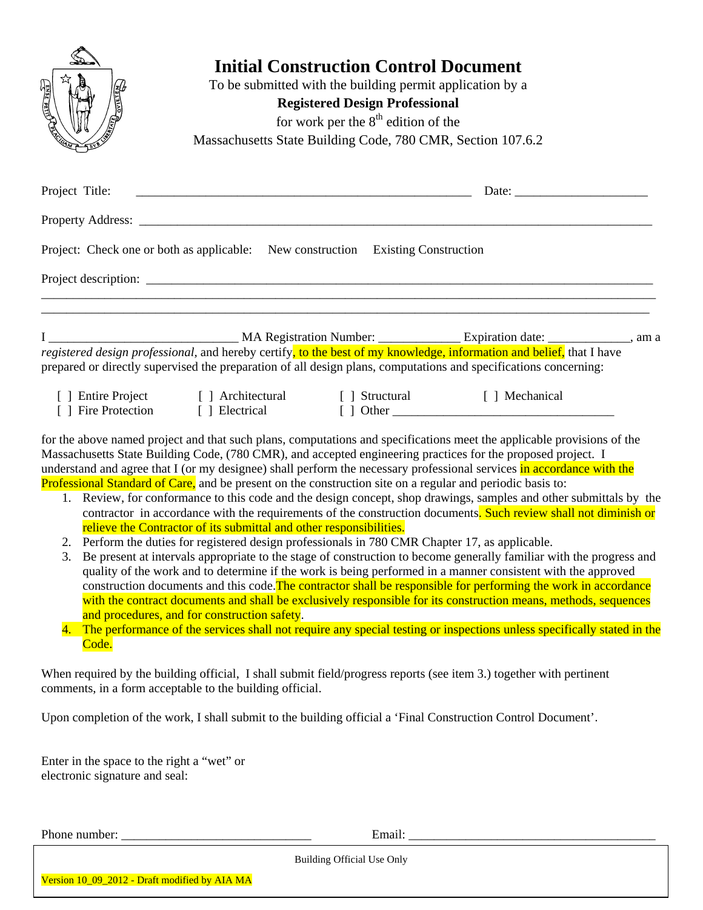| <b>ENGLISHED</b> |                                                                                  | <b>Initial Construction Control Document</b><br>To be submitted with the building permit application by a<br><b>Registered Design Professional</b><br>for work per the $8th$ edition of the<br>Massachusetts State Building Code, 780 CMR, Section 107.6.2 |                                                                                                                                                                                                                                                                                                                                                                 |  |
|------------------|----------------------------------------------------------------------------------|------------------------------------------------------------------------------------------------------------------------------------------------------------------------------------------------------------------------------------------------------------|-----------------------------------------------------------------------------------------------------------------------------------------------------------------------------------------------------------------------------------------------------------------------------------------------------------------------------------------------------------------|--|
| Project Title:   |                                                                                  | Date: $\frac{1}{\sqrt{1-\frac{1}{2}} \cdot \frac{1}{2}}$                                                                                                                                                                                                   |                                                                                                                                                                                                                                                                                                                                                                 |  |
|                  |                                                                                  |                                                                                                                                                                                                                                                            |                                                                                                                                                                                                                                                                                                                                                                 |  |
|                  | Project: Check one or both as applicable: New construction Existing Construction |                                                                                                                                                                                                                                                            |                                                                                                                                                                                                                                                                                                                                                                 |  |
|                  |                                                                                  |                                                                                                                                                                                                                                                            | registered design professional, and hereby certify, to the best of my knowledge, information and belief, that I have<br>prepared or directly supervised the preparation of all design plans, computations and specifications concerning:                                                                                                                        |  |
|                  | [] Entire Project [] Architectural [] Structural [] Mechanical                   |                                                                                                                                                                                                                                                            |                                                                                                                                                                                                                                                                                                                                                                 |  |
|                  |                                                                                  |                                                                                                                                                                                                                                                            | for the above named project and that such plans, computations and specifications meet the applicable provisions of the<br>Massachusetts State Building Code, (780 CMR), and accepted engineering practices for the proposed project. I<br>understand and agree that I (or my designee) shall perform the necessary professional services in accordance with the |  |

Professional Standard of Care, and be present on the construction site on a regular and periodic basis to:

- 1. Review, for conformance to this code and the design concept, shop drawings, samples and other submittals by the contractor in accordance with the requirements of the construction documents. Such review shall not diminish or relieve the Contractor of its submittal and other responsibilities.
- 2. Perform the duties for registered design professionals in 780 CMR Chapter 17, as applicable.
- 3. Be present at intervals appropriate to the stage of construction to become generally familiar with the progress and quality of the work and to determine if the work is being performed in a manner consistent with the approved construction documents and this code. The contractor shall be responsible for performing the work in accordance with the contract documents and shall be exclusively responsible for its construction means, methods, sequences and procedures, and for construction safety.
- 4. The performance of the services shall not require any special testing or inspections unless specifically stated in the Code.

When required by the building official, I shall submit field/progress reports (see item 3.) together with pertinent comments, in a form acceptable to the building official.

Upon completion of the work, I shall submit to the building official a 'Final Construction Control Document'.

Enter in the space to the right a "wet" or electronic signature and seal:

Phone number: **Email:**  $\blacksquare$ 

Building Official Use Only